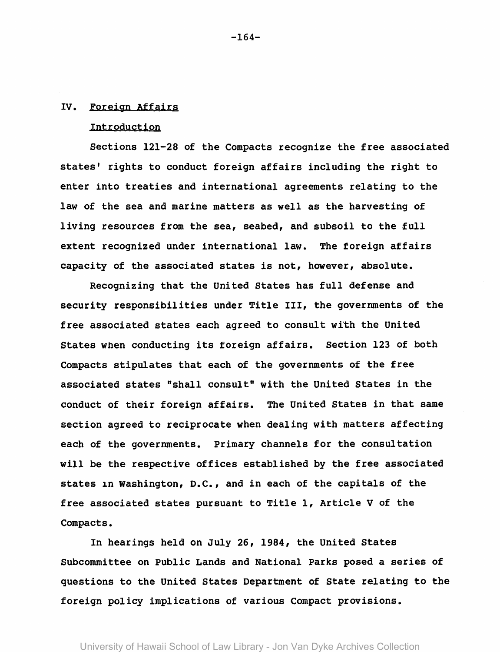## IV. Foreign Affairs

## Introduction

Sections 121-28 of the Compacts recognize the free associated states' rights to conduct foreign affairs including the right to enter into treaties and international agreements relating to the law of the sea and marine matters as well as the harvesting of living resources from the sea, seabed, and subsoil to the full extent recognized under international law. The foreign affairs capacity of the associated states is not, however, absolute.

Recognizing that the United States has full defense and security responsibilities under Title III, the governments of the free associated states each agreed to consult with the United States when conducting its foreign affairs. Section 123 of both Compacts stipulates that each of the governments of the free associated states "shall consult" with the United States in the conduct of their foreign affairs. The united States in that same section agreed to reciprocate when dealing with matters affecting each of the governments. Primary channels for the consultation will be the respective offices established by the free associated states in Washington, D.C., and in each of the capitals of the free associated states pursuant to Title 1, Article V of the Compacts.

In hearings held on July 26, 1984, the United States Subcommittee on Public Lands and National Parks posed a series of questions to the United States Department of State relating to the foreign policy implications of various Compact provisions.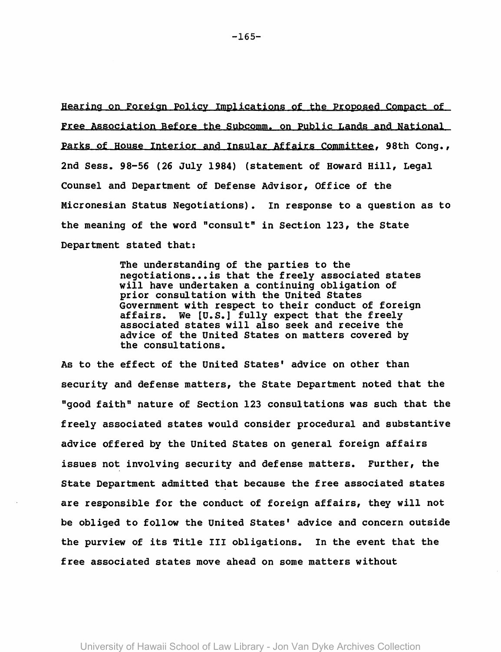Hearing on Foreign Policy Implications of the Proposed Compact of Free Association Before the Subcomm. on Public Lands and National Parks of House Interior and Insular Affairs Committee, 98th Cong., 2nd Sess. 98-56 (26 July 1984) (statement of Howard Hill, Legal Counsel and Department of Defense Advisor, Office of the Micronesian status Negotiations). In response to a question as to the meaning of the word "consult" in Section 123, the state Department stated that:

> The understanding of the parties to the negotiations... is that the freely associated states will have undertaken a continuing obligation of prior consultation with the United States<br>Government with respect to their conduct of foreign affairs. We [U.S.] fully expect that the freely associated states will also seek and receive the advice of the United states on matters covered by the consultations.

As to the effect of the United States' advice on other than security and defense matters, the state Department noted that the "good faith" nature of Section 123 consultations was such that the freely associated states would consider procedural and substantive advice offered by the United states on general foreign affairs issues not involving security and defense matters. Further, the State Department admitted that because the free associated states are responsible for the conduct of foreign affairs, they will not be obliged to follow the United States' advice and concern outside the purview of its Title III obligations. In the event that the free associated states move ahead on some matters without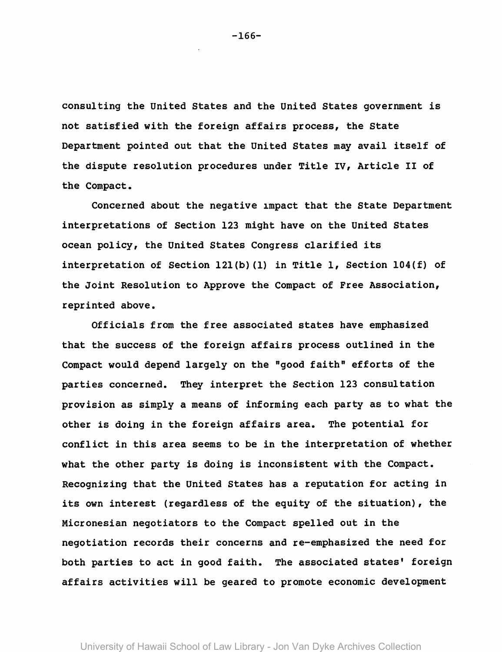consulting the united states and the United states government is not satisfied with the foreign affairs process, the state Department pointed out that the united states may avail itself of the dispute resolution procedures under Title IV, Article II of the Compact.

Concerned about the negative 1mpact that the state Department interpretations of Section 123 might have on the United states ocean policy, the United states Congress clarified its interpretation of Section l2l(b) (1) in Title 1, Section 104(f) of the Joint Resolution to Approve the Compact of Free Association, reprinted above.

Officials from the free associated states have emphasized that the success of the foreign affairs process outlined in the Compact would depend largely on the "good faith" efforts of the parties concerned. They interpret the Section 123 consultation provision as simply a means of informing each party as to what the other is doing in the foreign affairs area. The potential for conflict in this area seems to be in the interpretation of whether what the other party is doing is inconsistent with the Compact. Recognizing that the United states has a reputation for acting in its own interest (regardless of the equity of the situation), the Micronesian negotiators to the Compact spelled out in the negotiation records their concerns and re-emphasized the need for both parties to act in good faith. The associated states' foreign affairs activities will be geared to promote economic development

-166-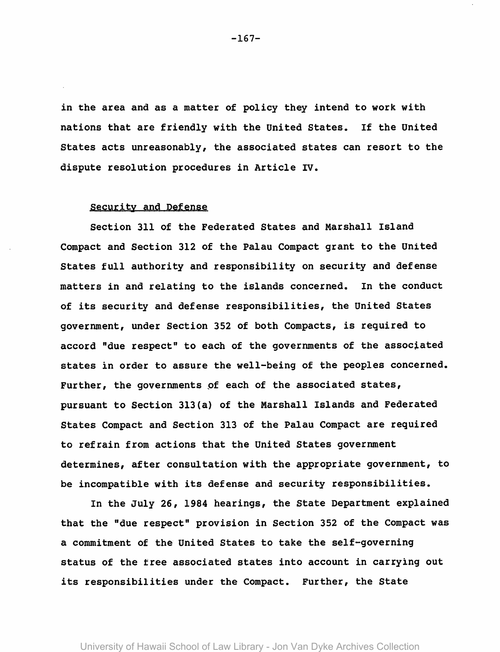in the area and as a matter of policy they intend to work with nations that are friendly with the United states. If the United states acts unreasonably, the associated states can resort to the dispute resolution procedures in Article IV.

## security and Defense

Section 311 of the Federated States and Marshall Island Compact and Section 312 of the Palau Compact grant to the United States full authority and responsibility on security and defense matters in and relating to the islands concerned. In the conduct of its security and defense responsibilities, the United states government, under Section 352 of both Compacts, is required to accord "due respect" to each of the governments of the associated states in order to assure the well-being of the peoples concerned. Further, the governments of each of the associated states, pursuant to Section 313(a) of the Marshall Islands and Federated states Compact and Section 313 of the Palau Compact are required to refrain from actions that the United States government determines, after consultation with the appropriate government, to be incompatible with its defense and security responsibilities.

In the July 26, 1984 hearings, the State Department explained that the "due respect" provision in Section 352 of the Compact was a commitment of the United States to take the self-governing status of the tree associated states into account in carrying out its responsibilities under the Compact. Further, the State

-167-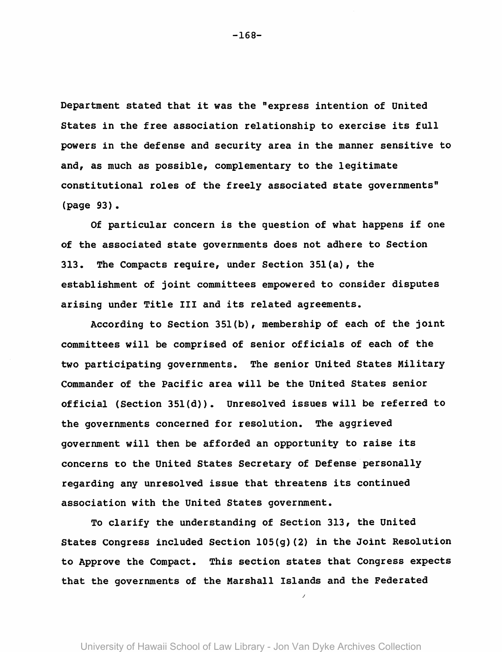Department stated that it was the "express intention of United states in the free association relationship to exercise its full powers in the defense and security area in the manner sensitive to and, as much as possible, complementary to the legitimate constitutional roles of the freely associated state governments" (page 93).

Of particular concern is the question of what happens if one of the associated state governments does not adhere to Section 313. The Compacts require, under Section 35l(a), the establishment of joint committees empowered to consider disputes arising under Title III and its related agreements.

According to Section 351(b), membership of each of the joint committees will be comprised of senior officials of each of the two participating governments. The senior United states Military Commander of the Pacific area will be the United States senior official (Section 351(d)). Unresolved issues will be referred to the governments concerned for resolution. The aggrieved government will then be afforded an opportunity to raise its concerns to the United States Secretary of Defense personally regarding any unresolved issue that threatens its continued association with the United States government.

To clarify the understanding of Section 313, the United States congress included Section 105(g)(2) in the JOint Resolution to Approve the Compact. This section states that Congress expects that the governments of the Marshall Islands and the Federated

/

-168-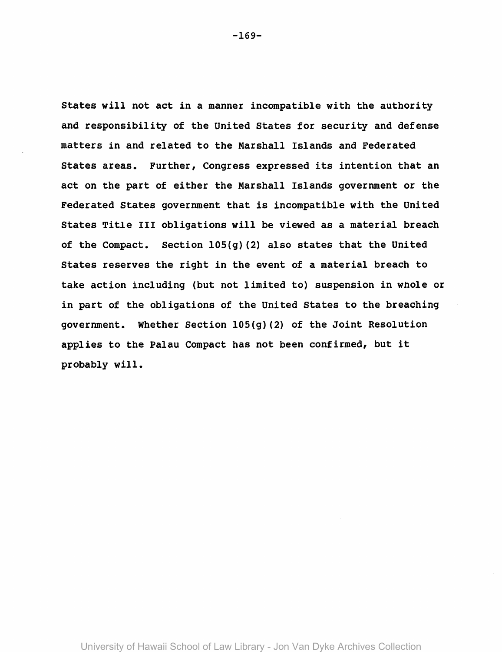states will not act in a manner incompatible with the authority and responsibility of the United states for security and defense matters in and related to the Marshall Islands and Federated states areas. Further, Congress expressed its intention that an act on the part of either the Marshall Islands government or the Federated states government that is incompatible with the United states Title III obligations will be viewed as a material breach of the Compact. Section 105(g) (2) also states that the United States reserves the right in the event of a material breach to take action including (but not limited to) suspension in whole or in part of the obligations of the United states to the breaching government. Whether Section 105(g)(2) of the Joint Resolution applies to the Palau Compact has not been confirmed, but it probably will.